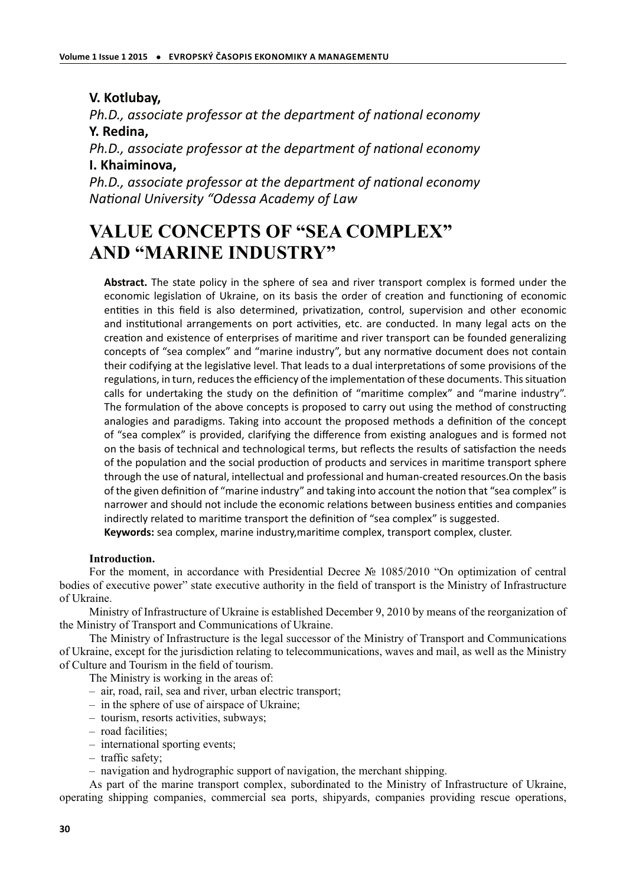# **V. Kotlubay,**

*Ph.D., associate professor at the department of national economy* **Y. Redina,**

*Ph.D., associate professor at the department of national economy* **I. Khaiminova,**

*Ph.D., associate professor at the department of national economy National University "Odessa Academy of Law* 

# **VALUE CONCEPTS OF "SEA COMPLEX" AND "MARINE INDUSTRY"**

**Abstract.** The state policy in the sphere of sea and river transport complex is formed under the economic legislation of Ukraine, on its basis the order of creation and functioning of economic entities in this field is also determined, privatization, control, supervision and other economic and institutional arrangements on port activities, etc. are conducted. In many legal acts on the creation and existence of enterprises of maritime and river transport can be founded generalizing concepts of "sea complex" and "marine industry", but any normative document does not contain their codifying at the legislative level. That leads to a dual interpretations of some provisions of the regulations, in turn, reduces the efficiency of the implementation of these documents. This situation calls for undertaking the study on the definition of "maritime complex" and "marine industry". The formulation of the above concepts is proposed to carry out using the method of constructing analogies and paradigms. Taking into account the proposed methods a definition of the concept of "sea complex" is provided, clarifying the difference from existing analogues and is formed not on the basis of technical and technological terms, but reflects the results of satisfaction the needs of the population and the social production of products and services in maritime transport sphere through the use of natural, intellectual and professional and human-created resources.On the basis of the given definition of "marine industry" and taking into account the notion that "sea complex" is narrower and should not include the economic relations between business entities and companies indirectly related to maritime transport the definition of "sea complex" is suggested.

**Keywords:** sea complex, marine industry,marime complex, transport complex, cluster.

## **Introduction.**

For the moment, in accordance with Presidential Decree № 1085/2010 "On optimization of central bodies of executive power" state executive authority in the field of transport is the Ministry of Infrastructure of Ukraine.

Ministry of Infrastructure of Ukraine is established December 9, 2010 by means of the reorganization of the Ministry of Transport and Communications of Ukraine.

The Ministry of Infrastructure is the legal successor of the Ministry of Transport and Communications of Ukraine, except for the jurisdiction relating to telecommunications, waves and mail, as well as the Ministry of Culture and Tourism in the field of tourism.

The Ministry is working in the areas of:

- air, road, rail, sea and river, urban electric transport;
- in the sphere of use of airspace of Ukraine;
- tourism, resorts activities, subways;
- road facilities;
- international sporting events;
- traffic safety;
- navigation and hydrographic support of navigation, the merchant shipping.

As part of the marine transport complex, subordinated to the Ministry of Infrastructure of Ukraine, operating shipping companies, commercial sea ports, shipyards, companies providing rescue operations,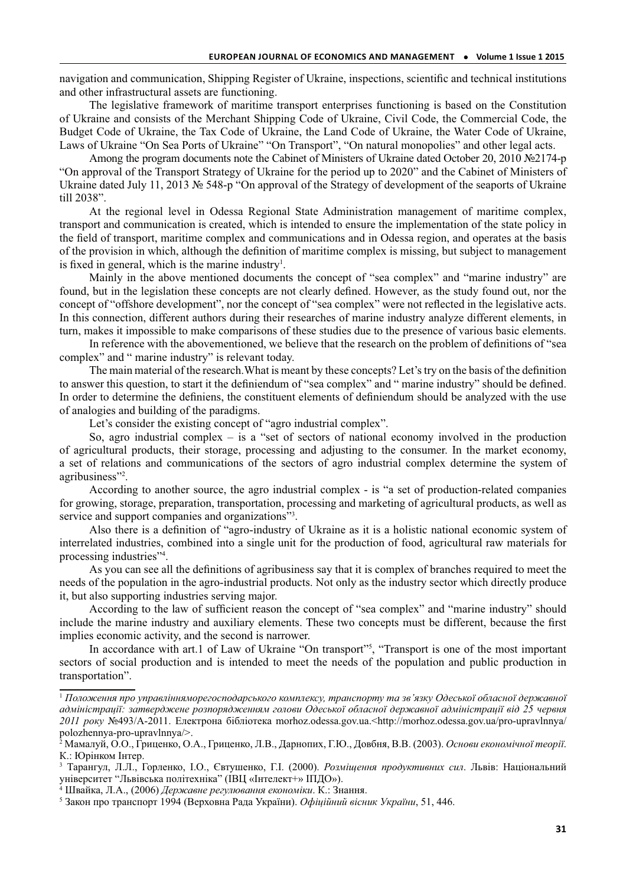navigation and communication, Shipping Register of Ukraine, inspections, scientific and technical institutions and other infrastructural assets are functioning.

The legislative framework of maritime transport enterprises functioning is based on the Constitution of Ukraine and consists of the Merchant Shipping Code of Ukraine, Civil Code, the Commercial Code, the Budget Code of Ukraine, the Tax Code of Ukraine, the Land Code of Ukraine, the Water Code of Ukraine, Laws of Ukraine "On Sea Ports of Ukraine" "On Transport", "On natural monopolies" and other legal acts.

Among the program documents note the Cabinet of Ministers of Ukraine dated October 20, 2010 №2174-р "On approval of the Transport Strategy of Ukraine for the period up to 2020" and the Cabinet of Ministers of Ukraine dated July 11, 2013 № 548-p "On approval of the Strategy of development of the seaports of Ukraine till 2038".

At the regional level in Odessa Regional State Administration management of maritime complex, transport and communication is created, which is intended to ensure the implementation of the state policy in the field of transport, maritime complex and communications and in Odessa region, and operates at the basis of the provision in which, although the definition of maritime complex is missing, but subject to management is fixed in general, which is the marine industry<sup>1</sup>.

Mainly in the above mentioned documents the concept of "sea complex" and "marine industry" are found, but in the legislation these concepts are not clearly defined. However, as the study found out, nor the concept of "offshore development", nor the concept of "sea complex" were not reflected in the legislative acts. In this connection, different authors during their researches of marine industry analyze different elements, in turn, makes it impossible to make comparisons of these studies due to the presence of various basic elements.

In reference with the abovementioned, we believe that the research on the problem of definitions of "sea complex" and " marine industry" is relevant today.

The main material of the research.What is meant by these concepts? Let's try on the basis of the definition to answer this question, to start it the definiendum of "sea complex" and " marine industry" should be defined. In order to determine the definiens, the constituent elements of definiendum should be analyzed with the use of analogies and building of the paradigms.

Let's consider the existing concept of "agro industrial complex".

So, agro industrial complex – is a "set of sectors of national economy involved in the production of agricultural products, their storage, processing and adjusting to the consumer. In the market economy, a set of relations and communications of the sectors of agro industrial complex determine the system of agribusiness"<sup>2</sup> .

According to another source, the agro industrial complex - is "a set of production-related companies for growing, storage, preparation, transportation, processing and marketing of agricultural products, as well as service and support companies and organizations"<sup>3</sup>.

Also there is a definition of "agro-industry of Ukraine as it is a holistic national economic system of interrelated industries, combined into a single unit for the production of food, agricultural raw materials for processing industries"<sup>4</sup>.

As you can see all the definitions of agribusiness say that it is complex of branches required to meet the needs of the population in the agro-industrial products. Not only as the industry sector which directly produce it, but also supporting industries serving major.

According to the law of sufficient reason the concept of "sea complex" and "marine industry" should include the marine industry and auxiliary elements. These two concepts must be different, because the first implies economic activity, and the second is narrower.

In accordance with art.1 of Law of Ukraine "On transport"<sup>5</sup> , "Transport is one of the most important sectors of social production and is intended to meet the needs of the population and public production in transportation".

<sup>1</sup> *Положення про управлінняморегосподарського комплексу, транспорту та зв'язку Одеської обласної державної адміністрації: затверджене розпорядженням голови Одеської обласної державної адміністрації від 25 червня 2011 року* №493/А-2011. Електрона бібліотека morhoz.odessa.gov.ua.<http://morhoz.odessa.gov.ua/pro-upravlnnya/ polozhennya-pro-upravlnnya/>.

<sup>2</sup> Мамалуй, О.О., Гриценко, О.А., Гриценко, Л.В., Дарнопих, Г.Ю., Довбня, В.В. (2003). *Основи економічної теорії*. К.: Юрінком Інтер.

<sup>3</sup> Тарангул, Л.Л., Горленко, І.О., Євтушенко, Г.І. (2000). *Розміщення продуктивних сил*. Львів: Національний університет "Львівська політехніка" (ІВЦ «Інтелект+» ІПДО»).

<sup>4</sup> Швайка, Л.А., (2006) *Державне регулювання економіки*. К.: Знання.

<sup>5</sup> Закон про транспорт 1994 (Верховна Рада України). *Офіційний вісник України*, 51, 446.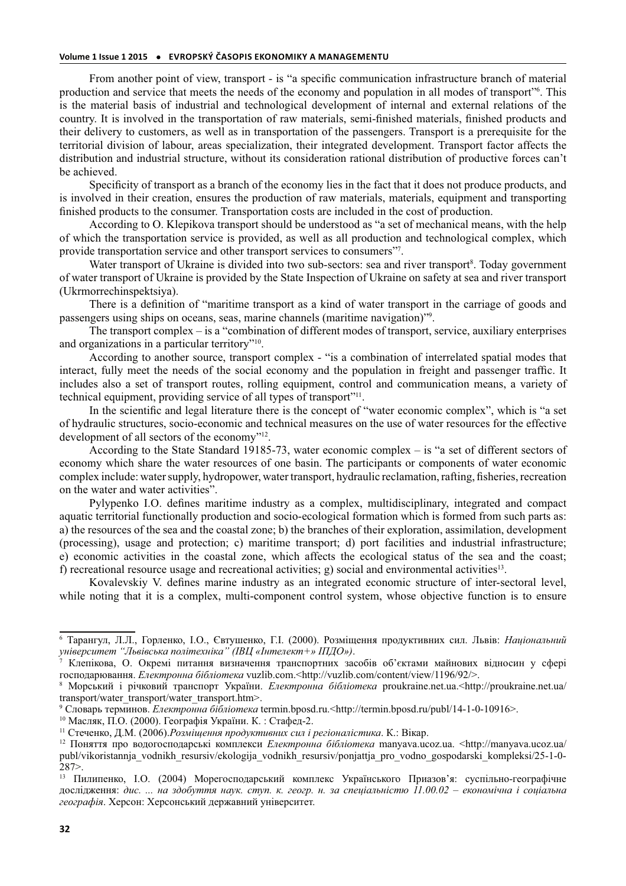From another point of view, transport - is "a specific communication infrastructure branch of material production and service that meets the needs of the economy and population in all modes of transport"<sup>6</sup>. This is the material basis of industrial and technological development of internal and external relations of the country. It is involved in the transportation of raw materials, semi-finished materials, finished products and their delivery to customers, as well as in transportation of the passengers. Transport is a prerequisite for the territorial division of labour, areas specialization, their integrated development. Transport factor affects the distribution and industrial structure, without its consideration rational distribution of productive forces can't be achieved.

Specificity of transport as a branch of the economy lies in the fact that it does not produce products, and is involved in their creation, ensures the production of raw materials, materials, equipment and transporting finished products to the consumer. Transportation costs are included in the cost of production.

According to O. Klepikova transport should be understood as "a set of mechanical means, with the help of which the transportation service is provided, as well as all production and technological complex, which provide transportation service and other transport services to consumers"<sup>7</sup> .

Water transport of Ukraine is divided into two sub-sectors: sea and river transport<sup>8</sup>. Today government of water transport of Ukraine is provided by the State Inspection of Ukraine on safety at sea and river transport (Ukrmorrechinspektsiya).

There is a definition of "maritime transport as a kind of water transport in the carriage of goods and passengers using ships on oceans, seas, marine channels (maritime navigation)"<sup>9</sup> .

The transport complex – is a "combination of different modes of transport, service, auxiliary enterprises and organizations in a particular territory"<sup>10</sup>.

According to another source, transport complex - "is a combination of interrelated spatial modes that interact, fully meet the needs of the social economy and the population in freight and passenger traffic. It includes also a set of transport routes, rolling equipment, control and communication means, a variety of technical equipment, providing service of all types of transport"<sup>11</sup>.

In the scientific and legal literature there is the concept of "water economic complex", which is "a set of hydraulic structures, socio-economic and technical measures on the use of water resources for the effective development of all sectors of the economy"<sup>12</sup>.

According to the State Standard 19185-73, water economic complex – is "a set of different sectors of economy which share the water resources of one basin. The participants or components of water economic complex include: water supply, hydropower, water transport, hydraulic reclamation, rafting, fisheries, recreation on the water and water activities".

Pylypenko I.O. defines maritime industry as a complex, multidisciplinary, integrated and compact aquatic territorial functionally production and socio-ecological formation which is formed from such parts as: a) the resources of the sea and the coastal zone; b) the branches of their exploration, assimilation, development (processing), usage and protection; c) maritime transport; d) port facilities and industrial infrastructure; e) economic activities in the coastal zone, which affects the ecological status of the sea and the coast; f) recreational resource usage and recreational activities;  $g$ ) social and environmental activities<sup>13</sup>.

Kovalevskiy V. defines marine industry as an integrated economic structure of inter-sectoral level, while noting that it is a complex, multi-component control system, whose objective function is to ensure

<sup>6</sup> Тарангул, Л.Л., Горленко, І.О., Євтушенко, Г.І. (2000). Розміщення продуктивних сил. Львів: *Національний університет "Львівська політехніка" (ІВЦ «Інтелект+» ІПДО»)*.

<sup>7</sup> Клепікова, О. Окремі питання визначення транспортних засобів об'єктами майнових відносин у сфері господарювання. *Електронна бібліотека* vuzlib.com.<http://vuzlib.com/content/view/1196/92/>.

<sup>8</sup> Морський і річковий транспорт України. *Електронна бібліотека* proukraine.net.ua.<http://proukraine.net.ua/ transport/water\_transport/water\_transport.htm>.

<sup>9</sup> Словарь терминов. *Електронна бібліотека* termin.bposd.ru.<http://termin.bposd.ru/publ/14-1-0-10916>.

<sup>10</sup> Масляк, П.О. (2000). Географія України. К. : Стафед-2.

<sup>11</sup> Стеченко, Д.М. (2006).*Розміщення продуктивних сил і регіоналістика*. К.: Вікар.

<sup>12</sup> Поняття про водогосподарські комплекси *Електронна бібліотека* manyava.ucoz.ua. <http://manyava.ucoz.ua/ publ/vikoristannja\_vodnikh\_resursiv/ekologija\_vodnikh\_resursiv/ponjattja\_pro\_vodno\_gospodarski\_kompleksi/25-1-0-  $287$ 

<sup>13</sup> Пилипенко, І.О. (2004) Морегосподарський комплекс Українського Приазов'я: суспільно-географічне дослідження: *дис. ... на здобуття наук. ступ. к. геогр. н. за спеціальністю 11.00.02 – економічна і соціальна географія*. Херсон: Херсонський державний університет.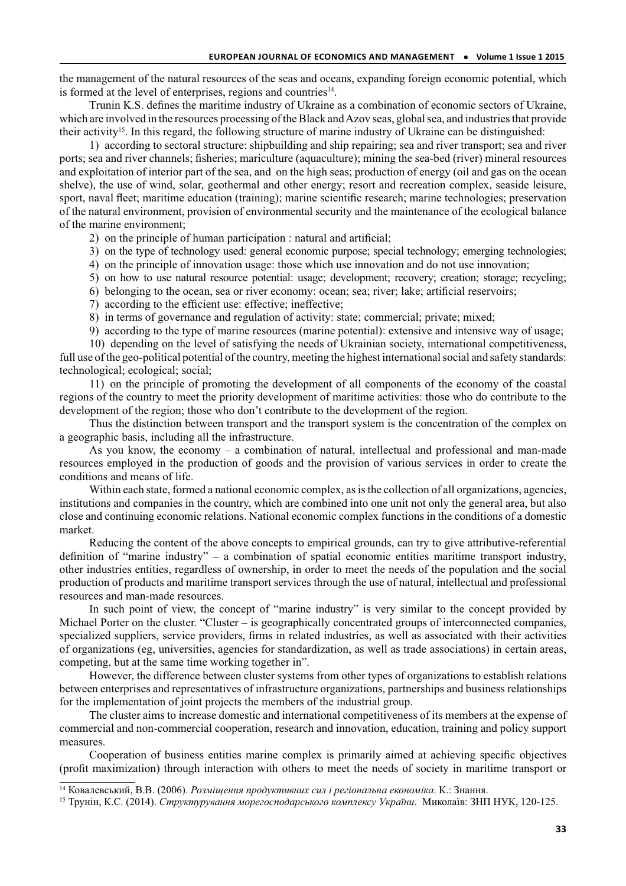the management of the natural resources of the seas and oceans, expanding foreign economic potential, which is formed at the level of enterprises, regions and countries<sup>14</sup>.

Trunin K.S. defines the maritime industry of Ukraine as a combination of economic sectors of Ukraine, which are involved in the resources processing of the Black and Azov seas, global sea, and industries that provide their activity<sup>15</sup>. In this regard, the following structure of marine industry of Ukraine can be distinguished:

1) according to sectoral structure: shipbuilding and ship repairing; sea and river transport; sea and river ports; sea and river channels; fisheries; mariculture (aquaculture); mining the sea-bed (river) mineral resources and exploitation of interior part of the sea, and on the high seas; production of energy (oil and gas on the ocean shelve), the use of wind, solar, geothermal and other energy; resort and recreation complex, seaside leisure, sport, naval fleet; maritime education (training); marine scientific research; marine technologies; preservation of the natural environment, provision of environmental security and the maintenance of the ecological balance of the marine environment;

2) on the principle of human participation : natural and artificial;

- 3) on the type of technology used: general economic purpose; special technology; emerging technologies;
- 4) on the principle of innovation usage: those which use innovation and do not use innovation;
- 5) on how to use natural resource potential: usage; development; recovery; creation; storage; recycling;
- 6) belonging to the ocean, sea or river economy: ocean; sea; river; lake; artificial reservoirs;
- 7) according to the efficient use: effective; ineffective;
- 8) in terms of governance and regulation of activity: state; commercial; private; mixed;
- 9) according to the type of marine resources (marine potential): extensive and intensive way of usage;

10) depending on the level of satisfying the needs of Ukrainian society, international competitiveness, full use of the geo-political potential of the country, meeting the highest international social and safety standards: technological; ecological; social;

11) on the principle of promoting the development of all components of the economy of the coastal regions of the country to meet the priority development of maritime activities: those who do contribute to the development of the region; those who don't contribute to the development of the region.

Thus the distinction between transport and the transport system is the concentration of the complex on a geographic basis, including all the infrastructure.

As you know, the economy – a combination of natural, intellectual and professional and man-made resources employed in the production of goods and the provision of various services in order to create the conditions and means of life.

Within each state, formed a national economic complex, as is the collection of all organizations, agencies, institutions and companies in the country, which are combined into one unit not only the general area, but also close and continuing economic relations. National economic complex functions in the conditions of a domestic market.

Reducing the content of the above concepts to empirical grounds, can try to give attributive-referential definition of "marine industry" – a combination of spatial economic entities maritime transport industry, other industries entities, regardless of ownership, in order to meet the needs of the population and the social production of products and maritime transport services through the use of natural, intellectual and professional resources and man-made resources.

In such point of view, the concept of "marine industry" is very similar to the concept provided by Michael Porter on the cluster. "Cluster – is geographically concentrated groups of interconnected companies, specialized suppliers, service providers, firms in related industries, as well as associated with their activities of organizations (eg, universities, agencies for standardization, as well as trade associations) in certain areas, competing, but at the same time working together in".

However, the difference between cluster systems from other types of organizations to establish relations between enterprises and representatives of infrastructure organizations, partnerships and business relationships for the implementation of joint projects the members of the industrial group.

The cluster aims to increase domestic and international competitiveness of its members at the expense of commercial and non-commercial cooperation, research and innovation, education, training and policy support measures.

Cooperation of business entities marine complex is primarily aimed at achieving specific objectives (profit maximization) through interaction with others to meet the needs of society in maritime transport or

<sup>14</sup> Ковалевський, В.В. (2006). *Розміщення продуктивних сил і регіональна економіка*. К.: Знання.

<sup>15</sup> Трунін, К.С. (2014). *Структурування морегосподарського комплексу України*. Миколаїв: ЗНП НУК, 120-125.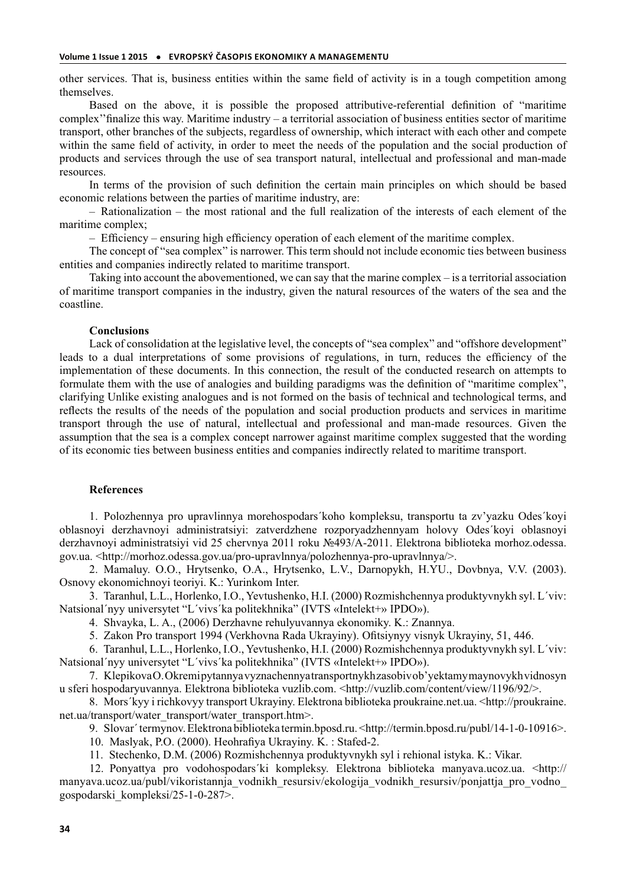other services. That is, business entities within the same field of activity is in a tough competition among themselves.

Based on the above, it is possible the proposed attributive-referential definition of "maritime complex''finalize this way. Maritime industry – a territorial association of business entities sector of maritime transport, other branches of the subjects, regardless of ownership, which interact with each other and compete within the same field of activity, in order to meet the needs of the population and the social production of products and services through the use of sea transport natural, intellectual and professional and man-made resources.

In terms of the provision of such definition the certain main principles on which should be based economic relations between the parties of maritime industry, are:

– Rationalization – the most rational and the full realization of the interests of each element of the maritime complex;

– Efficiency – ensuring high efficiency operation of each element of the maritime complex.

The concept of "sea complex" is narrower. This term should not include economic ties between business entities and companies indirectly related to maritime transport.

Taking into account the abovementioned, we can say that the marine complex – is a territorial association of maritime transport companies in the industry, given the natural resources of the waters of the sea and the coastline.

### **Сonclusions**

Lack of consolidation at the legislative level, the concepts of "sea complex" and "offshore development" leads to a dual interpretations of some provisions of regulations, in turn, reduces the efficiency of the implementation of these documents. In this connection, the result of the conducted research on attempts to formulate them with the use of analogies and building paradigms was the definition of "maritime complex", clarifying Unlike existing analogues and is not formed on the basis of technical and technological terms, and reflects the results of the needs of the population and social production products and services in maritime transport through the use of natural, intellectual and professional and man-made resources. Given the assumption that the sea is a complex concept narrower against maritime complex suggested that the wording of its economic ties between business entities and companies indirectly related to maritime transport.

#### **References**

1. Polozhennya pro upravlinnya morehospodars´koho kompleksu, transportu ta zv'yazku Odes´koyi oblasnoyi derzhavnoyi administratsiyi: zatverdzhene rozporyadzhennyam holovy Odes´koyi oblasnoyi derzhavnoyi administratsiyi vid 25 chervnya 2011 roku №493/A-2011. Elektrona biblioteka morhoz.odessa. gov.ua. <http://morhoz.odessa.gov.ua/pro-upravlnnya/polozhennya-pro-upravlnnya/>.

2. Mamaluy. O.O., Hrytsenko, O.A., Hrytsenko, L.V., Darnopykh, H.YU., Dovbnya, V.V. (2003). Osnovy ekonomichnoyi teoriyi. K.: Yurinkom Inter.

3. Taranhul, L.L., Horlenko, I.O., Yevtushenko, H.I. (2000) Rozmishchennya produktyvnykh syl. L´viv: Natsional´nyy universytet "L´vivs´ka politekhnika" (IVTS «Intelekt+» IPDO»).

4. Shvayka, L. A., (2006) Derzhavne rehulyuvannya ekonomiky. K.: Znannya.

5. Zakon Pro transport 1994 (Verkhovna Rada Ukrayiny). Ofitsiynyy visnyk Ukrayiny, 51, 446.

6. Taranhul, L.L., Horlenko, I.O., Yevtushenko, H.I. (2000) Rozmishchennya produktyvnykh syl. L´viv: Natsional´nyy universytet "L´vivs´ka politekhnika" (IVTS «Intelekt+» IPDO»).

7. Klepikova O. Okremi pytannya vyznachennya transportnykh zasobiv ob'yektamy maynovykh vidnosyn u sferi hospodaryuvannya. Elektrona biblioteka vuzlib.com. <http://vuzlib.com/content/view/1196/92/>.

8. Mors´kyy i richkovyy transport Ukrayiny. Elektrona biblioteka proukraine.net.ua. <http://proukraine. net.ua/transport/water\_transport/water\_transport.htm>.

9. Slovar´ termynov. Elektrona biblioteka termin.bposd.ru. <http://termin.bposd.ru/publ/14-1-0-10916>.

10. Maslyak, P.O. (2000). Heohrafiya Ukrayiny. K. : Stafed-2.

11. Stechenko, D.M. (2006) Rozmishchennya produktyvnykh syl i rehional istyka. K.: Vikar.

12. Ponyattya pro vodohospodars´ki kompleksy. Elektrona biblioteka manyava.ucoz.ua. <http:// manyava.ucoz.ua/publ/vikoristannja\_vodnikh\_resursiv/ekologija\_vodnikh\_resursiv/ponjattja\_pro\_vodno\_ gospodarski\_kompleksi/25-1-0-287>.